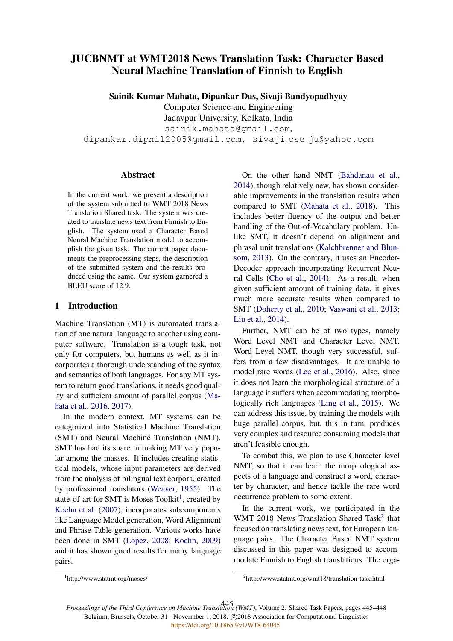# JUCBNMT at WMT2018 News Translation Task: Character Based Neural Machine Translation of Finnish to English

Sainik Kumar Mahata, Dipankar Das, Sivaji Bandyopadhyay

Computer Science and Engineering

Jadavpur University, Kolkata, India

sainik.mahata@gmail.com,

dipankar.dipnil2005@gmail.com, sivaji cse ju@yahoo.com

#### Abstract

In the current work, we present a description of the system submitted to WMT 2018 News Translation Shared task. The system was created to translate news text from Finnish to English. The system used a Character Based Neural Machine Translation model to accomplish the given task. The current paper documents the preprocessing steps, the description of the submitted system and the results produced using the same. Our system garnered a BLEU score of 12.9.

# 1 Introduction

Machine Translation (MT) is automated translation of one natural language to another using computer software. Translation is a tough task, not only for computers, but humans as well as it incorporates a thorough understanding of the syntax and semantics of both languages. For any MT system to return good translations, it needs good quality and sufficient amount of parallel corpus (Mahata et al., 2016, 2017).

In the modern context, MT systems can be categorized into Statistical Machine Translation (SMT) and Neural Machine Translation (NMT). SMT has had its share in making MT very popular among the masses. It includes creating statistical models, whose input parameters are derived from the analysis of bilingual text corpora, created by professional translators (Weaver, 1955). The state-of-art for SMT is Moses Toolkit<sup>1</sup>, created by Koehn et al. (2007), incorporates subcomponents like Language Model generation, Word Alignment and Phrase Table generation. Various works have been done in SMT (Lopez, 2008; Koehn, 2009) and it has shown good results for many language pairs.

On the other hand NMT (Bahdanau et al., 2014), though relatively new, has shown considerable improvements in the translation results when compared to SMT (Mahata et al., 2018). This includes better fluency of the output and better handling of the Out-of-Vocabulary problem. Unlike SMT, it doesn't depend on alignment and phrasal unit translations (Kalchbrenner and Blunsom, 2013). On the contrary, it uses an Encoder-Decoder approach incorporating Recurrent Neural Cells (Cho et al., 2014). As a result, when given sufficient amount of training data, it gives much more accurate results when compared to SMT (Doherty et al., 2010; Vaswani et al., 2013; Liu et al., 2014).

Further, NMT can be of two types, namely Word Level NMT and Character Level NMT. Word Level NMT, though very successful, suffers from a few disadvantages. It are unable to model rare words (Lee et al., 2016). Also, since it does not learn the morphological structure of a language it suffers when accommodating morphologically rich languages (Ling et al., 2015). We can address this issue, by training the models with huge parallel corpus, but, this in turn, produces very complex and resource consuming models that aren't feasible enough.

To combat this, we plan to use Character level NMT, so that it can learn the morphological aspects of a language and construct a word, character by character, and hence tackle the rare word occurrence problem to some extent.

In the current work, we participated in the WMT 2018 News Translation Shared Task<sup>2</sup> that focused on translating news text, for European language pairs. The Character Based NMT system discussed in this paper was designed to accommodate Finnish to English translations. The orga-

<sup>1</sup> http://www.statmt.org/moses/

<sup>2</sup> http://www.statmt.org/wmt18/translation-task.html

*Proceedings of the Third Conference on Machine Translation (WMT)*, Volume 2: Shared Task Papers, pages 445–448 445Belgium, Brussels, October 31 - Novermber 1, 2018. @2018 Association for Computational Linguistics <https://doi.org/10.18653/v1/W18-64045>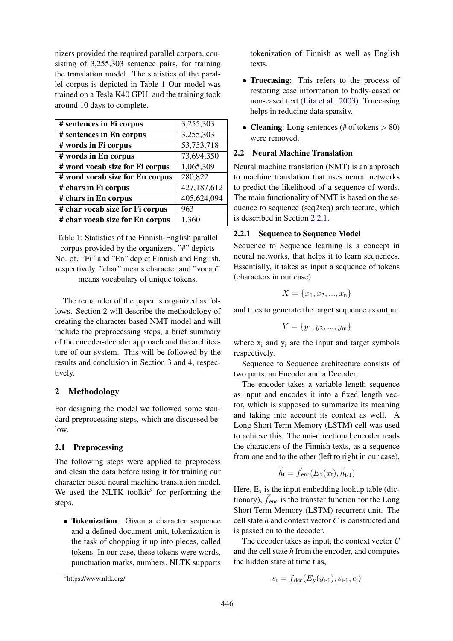nizers provided the required parallel corpora, consisting of 3,255,303 sentence pairs, for training the translation model. The statistics of the parallel corpus is depicted in Table 1 Our model was trained on a Tesla K40 GPU, and the training took around 10 days to complete.

| # sentences in Fi corpus        | 3,255,303   |
|---------------------------------|-------------|
| # sentences in En corpus        | 3,255,303   |
| # words in Fi corpus            | 53,753,718  |
| # words in En corpus            | 73,694,350  |
| # word vocab size for Fi corpus | 1,065,309   |
| # word vocab size for En corpus | 280,822     |
| # chars in Fi corpus            | 427,187,612 |
| # chars in En corpus            | 405,624,094 |
| # char vocab size for Fi corpus | 963         |
| # char vocab size for En corpus | 1,360       |

Table 1: Statistics of the Finnish-English parallel corpus provided by the organizers. "#" depicts No. of. "Fi" and "En" depict Finnish and English, respectively. "char" means character and "vocab" means vocabulary of unique tokens.

The remainder of the paper is organized as follows. Section 2 will describe the methodology of creating the character based NMT model and will include the preprocessing steps, a brief summary of the encoder-decoder approach and the architecture of our system. This will be followed by the results and conclusion in Section 3 and 4, respectively.

# 2 Methodology

For designing the model we followed some standard preprocessing steps, which are discussed below.

# 2.1 Preprocessing

The following steps were applied to preprocess and clean the data before using it for training our character based neural machine translation model. We used the NLTK toolkit<sup>3</sup> for performing the steps.

• Tokenization: Given a character sequence and a defined document unit, tokenization is the task of chopping it up into pieces, called tokens. In our case, these tokens were words, punctuation marks, numbers. NLTK supports tokenization of Finnish as well as English texts.

- Truecasing: This refers to the process of restoring case information to badly-cased or non-cased text (Lita et al., 2003). Truecasing helps in reducing data sparsity.
- Cleaning: Long sentences (# of tokens  $> 80$ ) were removed.

# 2.2 Neural Machine Translation

Neural machine translation (NMT) is an approach to machine translation that uses neural networks to predict the likelihood of a sequence of words. The main functionality of NMT is based on the sequence to sequence (seq2seq) architecture, which is described in Section 2.2.1.

# 2.2.1 Sequence to Sequence Model

Sequence to Sequence learning is a concept in neural networks, that helps it to learn sequences. Essentially, it takes as input a sequence of tokens (characters in our case)

$$
X = \{x_1, x_2, ..., x_n\}
$$

and tries to generate the target sequence as output

$$
Y = \{y_1, y_2, ..., y_m\}
$$

where  $x_i$  and  $y_i$  are the input and target symbols respectively.

Sequence to Sequence architecture consists of two parts, an Encoder and a Decoder.

The encoder takes a variable length sequence as input and encodes it into a fixed length vector, which is supposed to summarize its meaning and taking into account its context as well. A Long Short Term Memory (LSTM) cell was used to achieve this. The uni-directional encoder reads the characters of the Finnish texts, as a sequence from one end to the other (left to right in our case),

$$
\vec{h}_t = \vec{f}_{enc}(E_x(x_t), \vec{h}_{t-1})
$$

Here,  $E_x$  is the input embedding lookup table (dictionary),  $\vec{f}_{\text{enc}}$  is the transfer function for the Long Short Term Memory (LSTM) recurrent unit. The cell state *h* and context vector *C* is constructed and is passed on to the decoder.

The decoder takes as input, the context vector *C* and the cell state *h* from the encoder, and computes the hidden state at time t as,

$$
s_{t} = f_{\text{dec}}(E_{y}(y_{t-1}), s_{t-1}, c_{t})
$$

<sup>3</sup> https://www.nltk.org/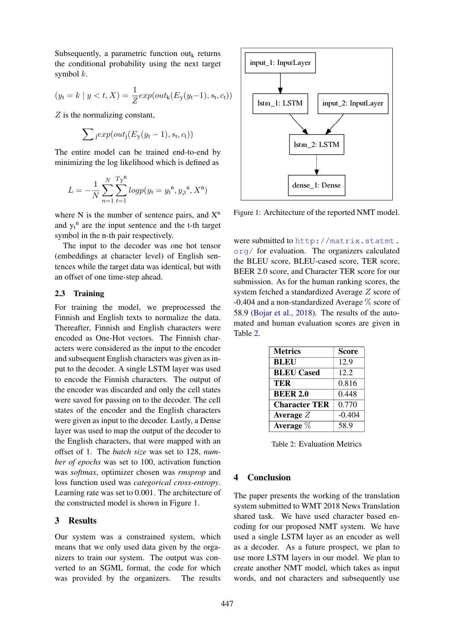Subsequently, a parametric function out $_k$  returns the conditional probability using the next target symbol  $k$ .

$$
(y_t = k \mid y < t, X) = \frac{1}{Z} \exp(\omega t_k (E_y(y_t - 1), s_t, c_t))
$$

 $Z$  is the normalizing constant,

$$
\sum_{j} \exp(out_j(E_y(y_t-1), s_t, c_t))
$$

The entire model can be trained end-to-end by minimizing the log likelihood which is defined as

$$
L = -\frac{1}{N} \sum_{n=1}^{N} \sum_{t=1}^{Ty^{n}} log p(y_{t} = y_{t}^{n}, y_{it}^{n}, X^{n})
$$

where N is the number of sentence pairs, and  $X<sup>n</sup>$ and  $y_t$ <sup>n</sup> are the input sentence and the t-th target symbol in the n-th pair respectively.

The input to the decoder was one hot tensor (embeddings at character level) of English sentences while the target data was identical, but with an offset of one time-step ahead.

# 2.3 Training

For training the model, we preprocessed the Finnish and English texts to normalize the data. Thereafter, Finnish and English characters were encoded as One-Hot vectors. The Finnish characters were considered as the input to the encoder and subsequent English characters was given as input to the decoder. A single LSTM layer was used to encode the Finnish characters. The output of the encoder was discarded and only the cell states were saved for passing on to the decoder. The cell states of the encoder and the English characters were given as input to the decoder. Lastly, a Dense layer was used to map the output of the decoder to the English characters, that were mapped with an offset of 1. The *batch size* was set to 128, *number of epochs* was set to 100, activation function was *softmax*, optimizer chosen was *rmsprop* and loss function used was *categorical cross-entropy*. Learning rate was set to 0.001. The architecture of the constructed model is shown in Figure 1.

# 3 Results

Our system was a constrained system, which means that we only used data given by the organizers to train our system. The output was converted to an SGML format, the code for which was provided by the organizers. The results



Figure 1: Architecture of the reported NMT model.

were submitted to http://matrix.statmt. org/ for evaluation. The organizers calculated the BLEU score, BLEU-cased score, TER score, BEER 2.0 score, and Character TER score for our submission. As for the human ranking scores, the system fetched a standardized Average Z score of -0.404 and a non-standardized Average % score of 58.9 (Bojar et al., 2018). The results of the automated and human evaluation scores are given in Table 2.

| <b>Metrics</b>       | <b>Score</b> |
|----------------------|--------------|
| <b>BLEU</b>          | 12.9         |
| <b>BLEU</b> Cased    | 12.2         |
| TER                  | 0.816        |
| <b>BEER 2.0</b>      | 0.448        |
| <b>Character TER</b> | 0.770        |
| Average $Z$          | $-0.404$     |
| Average $\%$         | 58.9         |

Table 2: Evaluation Metrics

# 4 Conclusion

The paper presents the working of the translation system submitted to WMT 2018 News Translation shared task. We have used character based encoding for our proposed NMT system. We have used a single LSTM layer as an encoder as well as a decoder. As a future prospect, we plan to use more LSTM layers in our model. We plan to create another NMT model, which takes as input words, and not characters and subsequently use